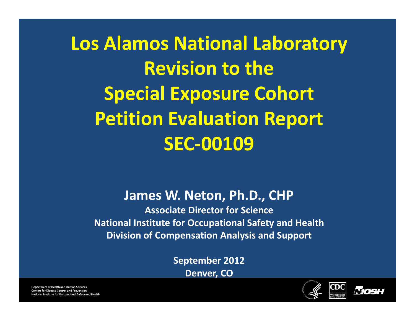**Los Alamos National Laboratory Revision to the Special Exposure Cohort Petition Evaluation Report SEC‐00109**

#### **James W. Neton, Ph.D., CHP**

**Associate Director for Science National Institute for Occupational Safety and Health Division of Compensation Analysis and Support**

> **September 2012 Denver, CO**



Mos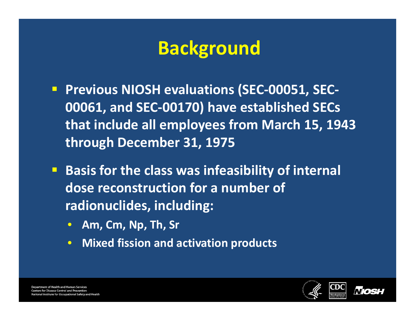## **Background**

- **Previous NIOSH evaluations (SEC‐00051, SEC‐ 00061, and SEC‐00170) have established SECs that include all employees from March 15, 1943 through December 31, 1975**
- **Basis for the class was infeasibility of internal dose reconstruction for <sup>a</sup> number of radionuclides, including:**
	- $\bullet$ **Am, Cm, Np, Th, Sr**
	- $\bullet$ **Mixed fission and activation products**



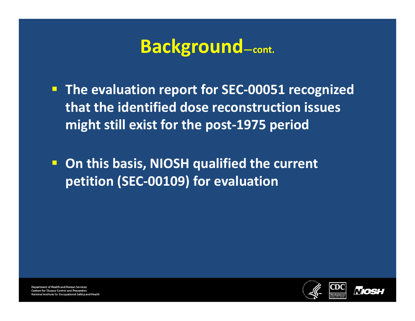#### **Background—cont.**

 **The evaluation report for SEC‐00051 recognized that the identified dose reconstruction issues might still exist for the post‐1975 period**

 **On this basis, NIOSH qualified the current petition (SEC‐00109) for evaluation**

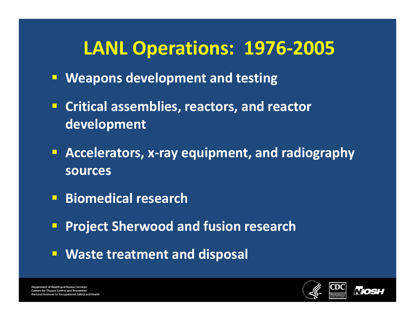## **LANL Operations: 1976‐2005**

- **Weapons development and testing**
- **Critical assemblies, reactors, and reactor development**
- **Accelerators, <sup>x</sup>‐ray equipment, and radiography sources**
- **Biomedical research**
- **Project Sherwood and fusion research**
- **Waste treatment and disposal**

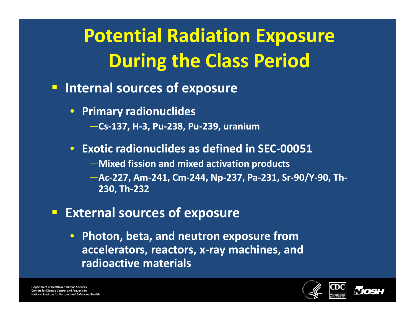# **Potential Radiation Exposure During the Class Period**

- **Internal sources of exposure**
	- **Primary radionuclides**
		- —**Cs‐137, H‐3, Pu‐238, Pu‐239, uranium**
	- **Exotic radionuclides as defined in SEC‐00051**
		- —**Mixed fission and mixed activation products**
		- —**Ac‐227, Am‐241, Cm‐244, Np‐237, Pa‐231, Sr‐90/Y‐90, Th‐ 230, Th‐232**
- **External sources of exposure**
	- **Photon, beta, and neutron exposure from accelerators, reactors, <sup>x</sup>‐ray machines, and radioactive materials**

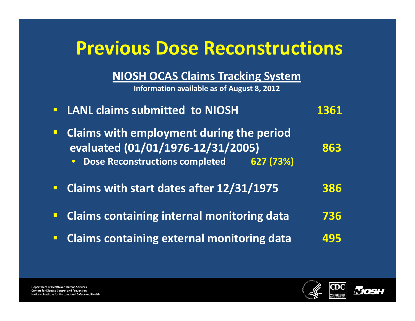## **Previous Dose Reconstructions**

**NIOSH OCAS Claims Tracking System**

**Information available as of August 8, 2012**

| <b>E</b> LANL claims submitted to NIOSH                                                                                                         | 1361 |
|-------------------------------------------------------------------------------------------------------------------------------------------------|------|
| <b>Claims with employment during the period</b><br>evaluated (01/01/1976-12/31/2005)<br>Dose Reconstructions completed<br>627(73%)<br>$\bullet$ | 863  |
| • Claims with start dates after 12/31/1975                                                                                                      | 386  |
| <b>Claims containing internal monitoring data</b>                                                                                               | 736  |
| <b>Claims containing external monitoring data</b>                                                                                               | 495  |



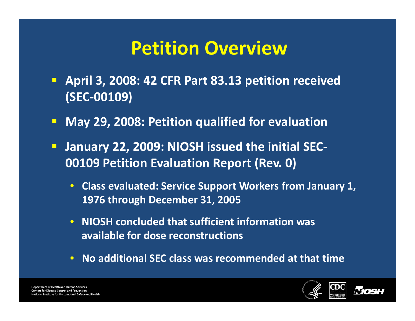## **Petition Overview**

- **April 3, 2008: 42 CFR Part 83.13 petition received (SEC‐00109)**
- $\Box$ **May 29, 2008: Petition qualified for evaluation**
- **January 22, 2009: NIOSH issued the initial SEC‐ 00109 Petition Evaluation Report (Rev. 0)**
	- **Class evaluated: Service Support Workers from January 1, 1976 through December 31, 2005**
	- **NIOSH concluded that sufficient information was available for dose reconstructions**
	- **No additional SEC class was recommended at that time**

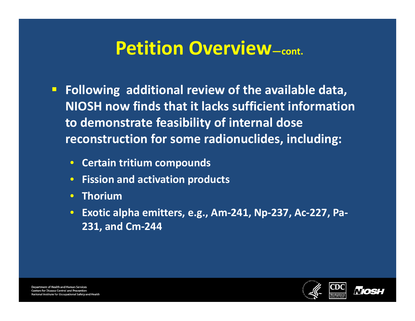## **Petition Overview—cont.**

- **Following additional review of the available data, NIOSH now finds that it lacks sufficient information to demonstrate feasibility of internal dose reconstruction for some radionuclides, including:**
	- **Certain tritium compounds**
	- $\bullet$ **Fission and activation products**
	- **Thorium**
	- $\bullet$  **Exotic alpha emitters, e.g., Am‐241, Np‐237, Ac‐227, Pa‐ 231, and Cm‐244**



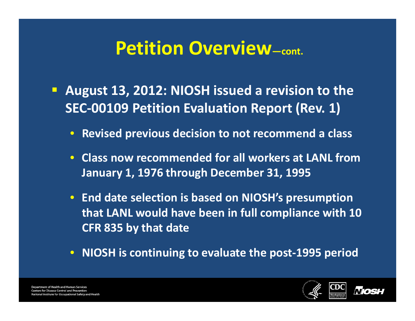### **Petition Overview—cont.**

- **August 13, 2012: NIOSH issued <sup>a</sup> revision to the SEC‐00109 Petition Evaluation Report (Rev. 1)**
	- **Revised previous decision to not recommend <sup>a</sup> class**
	- **Class now recommended for all workers at LANL from January 1, 1976 through December 31, 1995**
	- **End date selection is based on NIOSH's presumption that LANL would have been in full compliance with 10 CFR 835 by that date**
	- **NIOSH is continuing to evaluate the post‐1995 period**

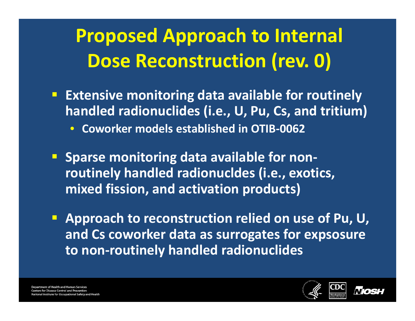## **Proposed Approach to Internal Dose Reconstruction (rev. 0)**

- **Extensive monitoring data available for routinely handled radionuclides (i.e., U, Pu, Cs, and tritium)** • **Coworker models established in OTIB‐0062**
- **Sparse monitoring data available for non‐ routinely handled radionucldes (i.e., exotics, mixed fission, and activation products)**
- **Approach to reconstruction relied on use of Pu, U, and Cs coworker data as surrogates for expsosure to non‐routinely handled radionuclides**

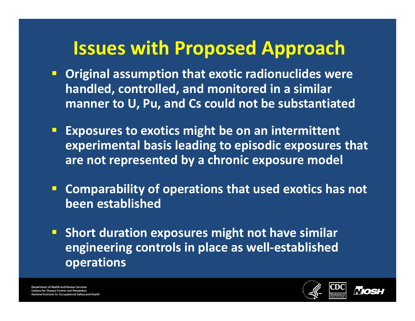## **Issues with Proposed Approach**

- **Original assumption that exotic radionuclides were handled, controlled, and monitored in <sup>a</sup> similar manner to U, Pu, and Cs could not be substantiated**
- **Exposures to exotics might be on an intermittent experimental basis leading to episodic exposures that are not represented by <sup>a</sup> chronic exposure model**
- **Comparability of operations that used exotics has not been established**
- **Short duration exposures might not have similar engineering controls in place as well‐established operations**

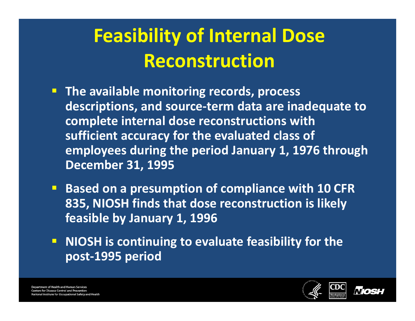## **Feasibility of Internal Dose Reconstruction**

- **The available monitoring records, process descriptions, and source‐term data are inadequate to complete internal dose reconstructions with sufficient accuracy for the evaluated class of employees during the period January 1, 1976 through December 31, 1995**
- **Based on <sup>a</sup> presumption of compliance with 10 CFR 835, NIOSH finds that dose reconstruction is likely feasible by January 1, 1996**
- **NIOSH is continuing to evaluate feasibility for the post‐1995 period**

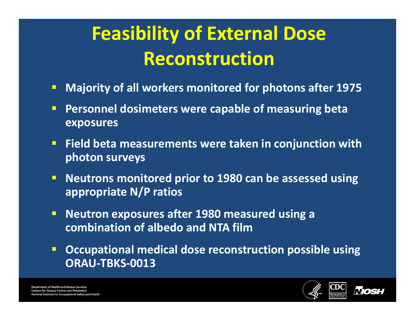## **Feasibility of External Dose Reconstruction**

- $\Box$ **Majority of all workers monitored for photons after 1975**
- **Personnel dosimeters were capable of measuring beta exposures**
- **Field beta measurements were taken in conjunction with photon surveys**
- $\Box$  **Neutrons monitored prior to 1980 can be assessed using appropriate N/P ratios**
- $\blacksquare$  **Neutron exposures after 1980 measured using <sup>a</sup> combination of albedo and NTA film**
- $\Box$  **Occupational medical dose reconstruction possible using ORAU‐TBKS‐0013**

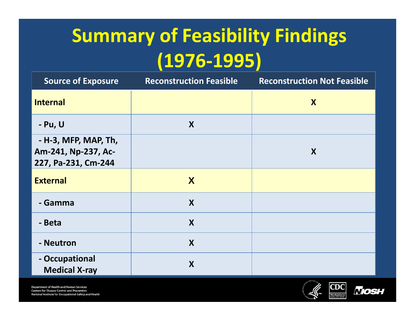# **Summary of Feasibility Findings (1976‐1995)**

| <b>Source of Exposure</b>                                          | <b>Reconstruction Feasible</b> | <b>Reconstruction Not Feasible</b> |
|--------------------------------------------------------------------|--------------------------------|------------------------------------|
| <b>Internal</b>                                                    |                                | X                                  |
| - Pu, U                                                            | X                              |                                    |
| - H-3, MFP, MAP, Th,<br>Am-241, Np-237, Ac-<br>227, Pa-231, Cm-244 |                                | X                                  |
| <b>External</b>                                                    | X                              |                                    |
| - Gamma                                                            | X                              |                                    |
| - Beta                                                             | X                              |                                    |
| - Neutron                                                          | X                              |                                    |
| - Occupational<br><b>Medical X-ray</b>                             | X                              |                                    |

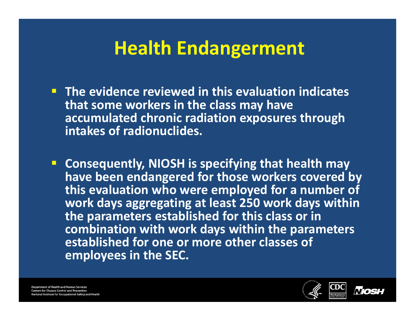## **Health Endangerment**

- **The evidence reviewed in this evaluation indicates that some workers in the class may have accumulated chronic radiation exposures through intakes of radionuclides.**
- **Consequently, NIOSH is specifying that health may have been endangered for those workers covered by this evaluation who were employed for <sup>a</sup> number of work days aggregating at least 250 work days within the parameters established for this class or in combination with work days within the parameters established for one or more other classes of employees in the SEC.**

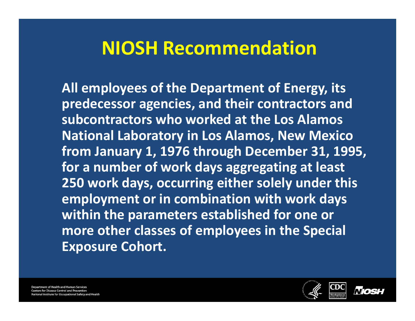## **NIOSH Recommendation**

**All employees of the Department of Energy, its predecessor agencies, and their contractors and subcontractors who worked at the Los Alamos National Laboratory in Los Alamos, New Mexico from January 1, 1976 through December 31, 1995, for a number of work days aggregating at least 250 work days, occurring either solely under this employment or in combination with work days within the parameters established for one or more other classes of employees in the Special Exposure Cohort.**

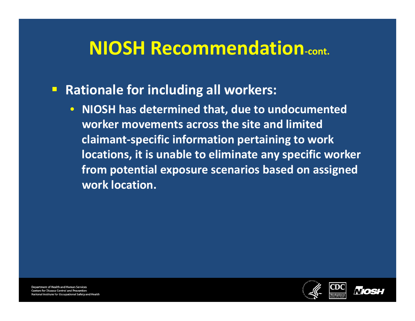## **NIOSH Recommendation‐cont.**

#### $\blacksquare$ **Rationale for including all workers:**

• **NIOSH has determined that, due to undocumented worker movements across the site and limited claimant‐specific information pertaining to work locations, it is unable to eliminate any specific worker from potential exposure scenarios based on assigned work location.**

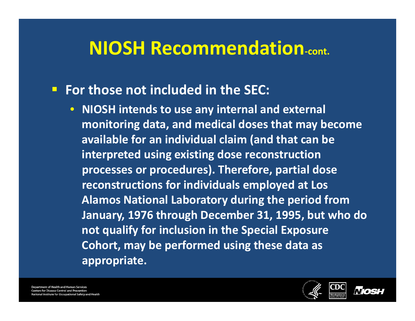## **NIOSH Recommendation‐cont.**

#### **For those not included in the SEC:**

• **NIOSH intends to use any internal and external monitoring data, and medical doses that may become available for an individual claim (and that can be interpreted using existing dose reconstruction processes or procedures). Therefore, partial dose reconstructions for individuals employed at Los Alamos National Laboratory during the period from January, 1976 through December 31, 1995, but who do not qualify for inclusion in the Special Exposure Cohort, may be performed using these data as appropriate.**